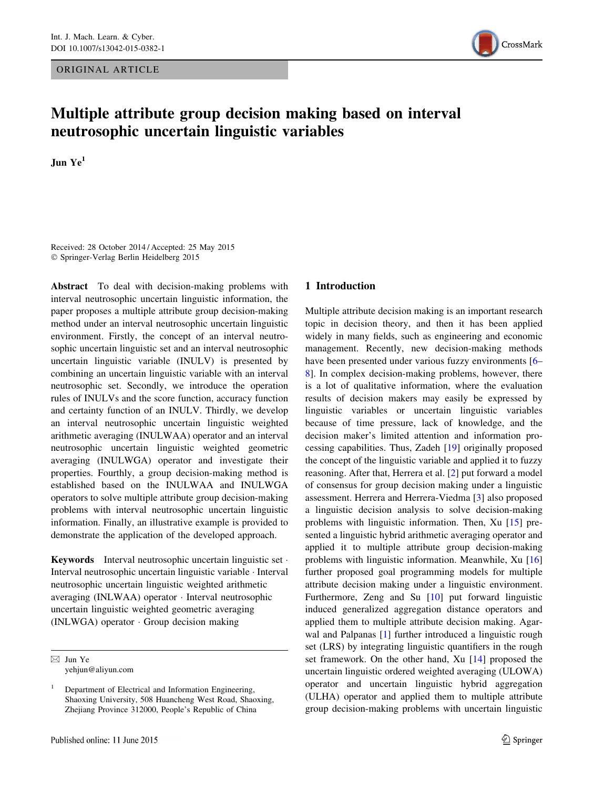ORIGINAL ARTICLE



# Multiple attribute group decision making based on interval neutrosophic uncertain linguistic variables

Jun  $Ye<sup>1</sup>$ 

Received: 28 October 2014 / Accepted: 25 May 2015 - Springer-Verlag Berlin Heidelberg 2015

Abstract To deal with decision-making problems with interval neutrosophic uncertain linguistic information, the paper proposes a multiple attribute group decision-making method under an interval neutrosophic uncertain linguistic environment. Firstly, the concept of an interval neutrosophic uncertain linguistic set and an interval neutrosophic uncertain linguistic variable (INULV) is presented by combining an uncertain linguistic variable with an interval neutrosophic set. Secondly, we introduce the operation rules of INULVs and the score function, accuracy function and certainty function of an INULV. Thirdly, we develop an interval neutrosophic uncertain linguistic weighted arithmetic averaging (INULWAA) operator and an interval neutrosophic uncertain linguistic weighted geometric averaging (INULWGA) operator and investigate their properties. Fourthly, a group decision-making method is established based on the INULWAA and INULWGA operators to solve multiple attribute group decision-making problems with interval neutrosophic uncertain linguistic information. Finally, an illustrative example is provided to demonstrate the application of the developed approach.

Keywords Interval neutrosophic uncertain linguistic set -Interval neutrosophic uncertain linguistic variable - Interval neutrosophic uncertain linguistic weighted arithmetic averaging (INLWAA) operator - Interval neutrosophic uncertain linguistic weighted geometric averaging (INLWGA) operator - Group decision making

### 1 Introduction

Multiple attribute decision making is an important research topic in decision theory, and then it has been applied widely in many fields, such as engineering and economic management. Recently, new decision-making methods have been presented under various fuzzy environments [\[6](#page-10-0)– [8](#page-11-0)]. In complex decision-making problems, however, there is a lot of qualitative information, where the evaluation results of decision makers may easily be expressed by linguistic variables or uncertain linguistic variables because of time pressure, lack of knowledge, and the decision maker's limited attention and information processing capabilities. Thus, Zadeh [\[19](#page-11-0)] originally proposed the concept of the linguistic variable and applied it to fuzzy reasoning. After that, Herrera et al. [\[2](#page-10-0)] put forward a model of consensus for group decision making under a linguistic assessment. Herrera and Herrera-Viedma [[3\]](#page-10-0) also proposed a linguistic decision analysis to solve decision-making problems with linguistic information. Then, Xu [[15\]](#page-11-0) presented a linguistic hybrid arithmetic averaging operator and applied it to multiple attribute group decision-making problems with linguistic information. Meanwhile, Xu [[16\]](#page-11-0) further proposed goal programming models for multiple attribute decision making under a linguistic environment. Furthermore, Zeng and Su [\[10](#page-11-0)] put forward linguistic induced generalized aggregation distance operators and applied them to multiple attribute decision making. Agar-wal and Palpanas [\[1\]](#page-10-0) further introduced a linguistic rough set (LRS) by integrating linguistic quantifiers in the rough set framework. On the other hand, Xu [\[14](#page-11-0)] proposed the uncertain linguistic ordered weighted averaging (ULOWA) operator and uncertain linguistic hybrid aggregation (ULHA) operator and applied them to multiple attribute group decision-making problems with uncertain linguistic

 $\boxtimes$  Jun Ye yehjun@aliyun.com

 $1$  Department of Electrical and Information Engineering, Shaoxing University, 508 Huancheng West Road, Shaoxing, Zhejiang Province 312000, People's Republic of China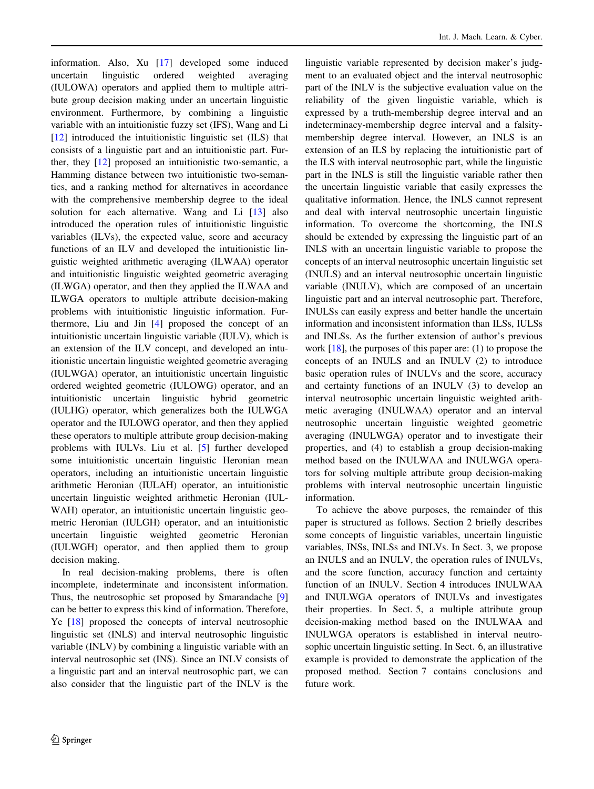information. Also, Xu [[17\]](#page-11-0) developed some induced uncertain linguistic ordered weighted averaging (IULOWA) operators and applied them to multiple attribute group decision making under an uncertain linguistic environment. Furthermore, by combining a linguistic variable with an intuitionistic fuzzy set (IFS), Wang and Li [\[12](#page-11-0)] introduced the intuitionistic linguistic set (ILS) that consists of a linguistic part and an intuitionistic part. Further, they [[12\]](#page-11-0) proposed an intuitionistic two-semantic, a Hamming distance between two intuitionistic two-semantics, and a ranking method for alternatives in accordance with the comprehensive membership degree to the ideal solution for each alternative. Wang and Li [\[13](#page-11-0)] also introduced the operation rules of intuitionistic linguistic variables (ILVs), the expected value, score and accuracy functions of an ILV and developed the intuitionistic linguistic weighted arithmetic averaging (ILWAA) operator and intuitionistic linguistic weighted geometric averaging (ILWGA) operator, and then they applied the ILWAA and ILWGA operators to multiple attribute decision-making problems with intuitionistic linguistic information. Furthermore, Liu and Jin [\[4](#page-10-0)] proposed the concept of an intuitionistic uncertain linguistic variable (IULV), which is an extension of the ILV concept, and developed an intuitionistic uncertain linguistic weighted geometric averaging (IULWGA) operator, an intuitionistic uncertain linguistic ordered weighted geometric (IULOWG) operator, and an intuitionistic uncertain linguistic hybrid geometric (IULHG) operator, which generalizes both the IULWGA operator and the IULOWG operator, and then they applied these operators to multiple attribute group decision-making problems with IULVs. Liu et al. [[5\]](#page-10-0) further developed some intuitionistic uncertain linguistic Heronian mean operators, including an intuitionistic uncertain linguistic arithmetic Heronian (IULAH) operator, an intuitionistic uncertain linguistic weighted arithmetic Heronian (IUL-WAH) operator, an intuitionistic uncertain linguistic geometric Heronian (IULGH) operator, and an intuitionistic uncertain linguistic weighted geometric Heronian (IULWGH) operator, and then applied them to group decision making.

In real decision-making problems, there is often incomplete, indeterminate and inconsistent information. Thus, the neutrosophic set proposed by Smarandache [[9\]](#page-11-0) can be better to express this kind of information. Therefore, Ye [\[18](#page-11-0)] proposed the concepts of interval neutrosophic linguistic set (INLS) and interval neutrosophic linguistic variable (INLV) by combining a linguistic variable with an interval neutrosophic set (INS). Since an INLV consists of a linguistic part and an interval neutrosophic part, we can also consider that the linguistic part of the INLV is the

linguistic variable represented by decision maker's judgment to an evaluated object and the interval neutrosophic part of the INLV is the subjective evaluation value on the reliability of the given linguistic variable, which is expressed by a truth-membership degree interval and an indeterminacy-membership degree interval and a falsitymembership degree interval. However, an INLS is an extension of an ILS by replacing the intuitionistic part of the ILS with interval neutrosophic part, while the linguistic part in the INLS is still the linguistic variable rather then the uncertain linguistic variable that easily expresses the qualitative information. Hence, the INLS cannot represent and deal with interval neutrosophic uncertain linguistic information. To overcome the shortcoming, the INLS should be extended by expressing the linguistic part of an INLS with an uncertain linguistic variable to propose the concepts of an interval neutrosophic uncertain linguistic set (INULS) and an interval neutrosophic uncertain linguistic variable (INULV), which are composed of an uncertain linguistic part and an interval neutrosophic part. Therefore, INULSs can easily express and better handle the uncertain information and inconsistent information than ILSs, IULSs and INLSs. As the further extension of author's previous work  $[18]$  $[18]$ , the purposes of this paper are: (1) to propose the concepts of an INULS and an INULV (2) to introduce basic operation rules of INULVs and the score, accuracy and certainty functions of an INULV (3) to develop an interval neutrosophic uncertain linguistic weighted arithmetic averaging (INULWAA) operator and an interval neutrosophic uncertain linguistic weighted geometric averaging (INULWGA) operator and to investigate their properties, and (4) to establish a group decision-making method based on the INULWAA and INULWGA operators for solving multiple attribute group decision-making problems with interval neutrosophic uncertain linguistic information.

To achieve the above purposes, the remainder of this paper is structured as follows. Section 2 briefly describes some concepts of linguistic variables, uncertain linguistic variables, INSs, INLSs and INLVs. In Sect. 3, we propose an INULS and an INULV, the operation rules of INULVs, and the score function, accuracy function and certainty function of an INULV. Section 4 introduces INULWAA and INULWGA operators of INULVs and investigates their properties. In Sect. 5, a multiple attribute group decision-making method based on the INULWAA and INULWGA operators is established in interval neutrosophic uncertain linguistic setting. In Sect. 6, an illustrative example is provided to demonstrate the application of the proposed method. Section 7 contains conclusions and future work.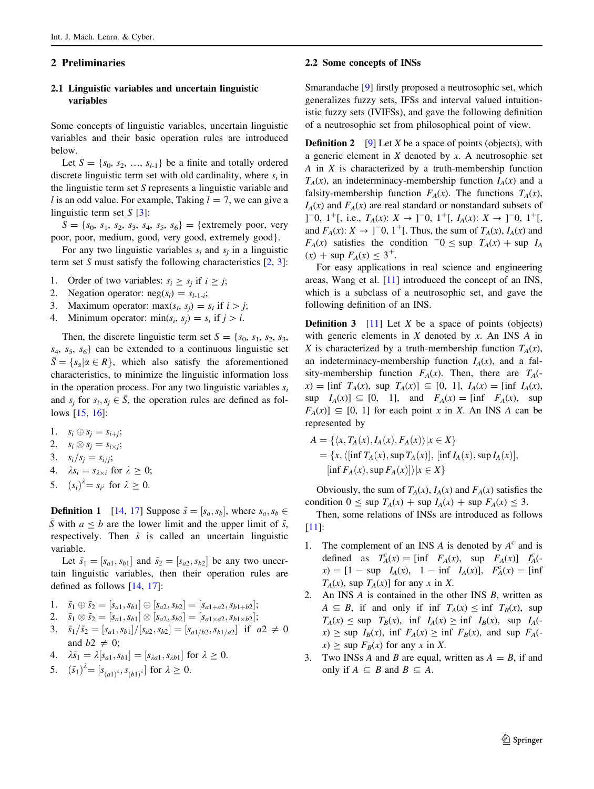## 2 Preliminaries

### 2.1 Linguistic variables and uncertain linguistic variables

Some concepts of linguistic variables, uncertain linguistic variables and their basic operation rules are introduced below.

Let  $S = \{s_0, s_2, ..., s_{l-1}\}\$  be a finite and totally ordered discrete linguistic term set with old cardinality, where  $s_i$  in the linguistic term set S represents a linguistic variable and l is an odd value. For example, Taking  $l = 7$ , we can give a linguistic term set  $S$  [\[3](#page-10-0)]:

 $S = \{s_0, s_1, s_2, s_3, s_4, s_5, s_6\} = \{\text{extremely poor, very}\}$ poor, poor, medium, good, very good, extremely good}.

For any two linguistic variables  $s_i$  and  $s_j$  in a linguistic term set S must satisfy the following characteristics  $[2, 3]$  $[2, 3]$  $[2, 3]$  $[2, 3]$ :

- 1. Order of two variables:  $s_i \geq s_j$  if  $i \geq j$ ;
- 2. Negation operator:  $neg(s_i) = s_{i-1-i};$
- 3. Maximum operator: max $(s_i, s_j) = s_i$  if  $i > j$ ;
- 4. Minimum operator:  $\min(s_i, s_j) = s_i$  if  $j > i$ .

Then, the discrete linguistic term set  $S = \{s_0, s_1, s_2, s_3,$  $s_4$ ,  $s_5$ ,  $s_6$  can be extended to a continuous linguistic set  $\bar{S} = \{s_\alpha | \alpha \in R\}$ , which also satisfy the aforementioned characteristics, to minimize the linguistic information loss in the operation process. For any two linguistic variables  $s_i$ and  $s_j$  for  $s_i, s_j \in \overline{S}$ , the operation rules are defined as follows [\[15](#page-11-0), [16](#page-11-0)]:

- 1.  $s_i \oplus s_j = s_{i+j};$
- 2.  $s_i \otimes s_j = s_{i \times j};$
- 3.  $s_i/s_i = s_{i/i};$
- 4.  $\lambda s_i = s_{\lambda \times i}$  for  $\lambda \geq 0$ ;
- 5.  $(s_i)^{\lambda} = s_{i^{\lambda}}$  for  $\lambda \geq 0$ .

**Definition 1** [[14,](#page-11-0) [17](#page-11-0)] Suppose  $\tilde{s} = [s_a, s_b]$ , where  $s_a, s_b \in$  $\bar{S}$  with  $a \leq b$  are the lower limit and the upper limit of  $\tilde{s}$ , respectively. Then  $\tilde{s}$  is called an uncertain linguistic variable.

Let  $\tilde{s}_1 = [s_{a1}, s_{b1}]$  and  $\tilde{s}_2 = [s_{a2}, s_{b2}]$  be any two uncertain linguistic variables, then their operation rules are defined as follows [\[14,](#page-11-0) [17\]](#page-11-0):

- 1.  $\tilde{s}_1 \oplus \tilde{s}_2 = [s_{a1}, s_{b1}] \oplus [s_{a2}, s_{b2}] = [s_{a1+a2}, s_{b1+b2}];$
- 2.  $\tilde{s}_1 \otimes \tilde{s}_2 = [s_{a1}, s_{b1}] \otimes [s_{a2}, s_{b2}] = [s_{a1 \times a2}, s_{b1 \times b2}];$
- 3.  $\tilde{s}_1/\tilde{s}_2=[s_{a1},s_{b1}]/[s_{a2},s_{b2}]=[s_{a1/b2},s_{b1/a2}]$  if  $a2 \neq 0$ and  $b2 \neq 0$ ;
- 4.  $\lambda \tilde{s}_1 = \lambda [s_{a1}, s_{b1}] = [s_{\lambda a1}, s_{\lambda b1}]$  for  $\lambda \geq 0$ .
- 5.  $(\tilde{s}_1)^{\lambda} = [s_{(a1)^{\lambda}}, s_{(b1)^{\lambda}}]$  for  $\lambda \ge 0$ .

#### 2.2 Some concepts of INSs

Smarandache [\[9](#page-11-0)] firstly proposed a neutrosophic set, which generalizes fuzzy sets, IFSs and interval valued intuitionistic fuzzy sets (IVIFSs), and gave the following definition of a neutrosophic set from philosophical point of view.

**Definition 2** [\[9](#page-11-0)] Let X be a space of points (objects), with a generic element in  $X$  denoted by  $x$ . A neutrosophic set A in  $X$  is characterized by a truth-membership function  $T_A(x)$ , an indeterminacy-membership function  $I_A(x)$  and a falsity-membership function  $F_A(x)$ . The functions  $T_A(x)$ ,  $I_A(x)$  and  $F_A(x)$  are real standard or nonstandard subsets of ]<sup>-</sup>0, 1<sup>+</sup>[, i.e.,  $T_A(x)$ :  $X \to$  ]<sup>-</sup>0, 1<sup>+</sup>[,  $I_A(x)$ :  $X \to$  ]<sup>-</sup>0, 1<sup>+</sup>[, and  $F_A(x): X \to ]-0, 1^+[$ . Thus, the sum of  $T_A(x), I_A(x)$  and  $F_A(x)$  satisfies the condition  $-0 \leq \sup T_A(x) + \sup I_A(x)$  $(x)$  + sup  $F_A(x) \leq 3^+$ .

For easy applications in real science and engineering areas, Wang et al. [\[11](#page-11-0)] introduced the concept of an INS, which is a subclass of a neutrosophic set, and gave the following definition of an INS.

**Definition 3** [\[11](#page-11-0)] Let X be a space of points (objects) with generic elements in  $X$  denoted by  $x$ . An INS  $A$  in X is characterized by a truth-membership function  $T_A(x)$ , an indeterminacy-membership function  $I<sub>A</sub>(x)$ , and a falsity-membership function  $F_A(x)$ . Then, there are  $T_A($  $x$ ) = [inf  $T_A(x)$ , sup  $T_A(x)$ ]  $\subseteq$  [0, 1],  $I_A(x) =$  [inf  $I_A(x)$ ,  $\sup$   $I_A(x)$   $\subseteq$   $[0, 1]$ , and  $F_A(x) =$   $\lim_{h \to 0} F_A(x)$ ,  $\sup$  $F_A(x)$   $\subseteq$  [0, 1] for each point x in X. An INS A can be represented by

$$
A = \{ \langle x, T_A(x), I_A(x), F_A(x) \rangle | x \in X \}
$$
  
=  $\{x, \langle [\inf T_A(x), \sup T_A(x)], [\inf I_A(x), \sup I_A(x)], [\inf F_A(x), \sup F_A(x)] \rangle | x \in X \}$ 

Obviously, the sum of  $T_A(x)$ ,  $I_A(x)$  and  $F_A(x)$  satisfies the condition  $0 \leq \sup T_A(x) + \sup I_A(x) + \sup F_A(x) \leq 3$ .

Then, some relations of INSs are introduced as follows [\[11](#page-11-0)]:

- 1. The complement of an INS A is denoted by  $A<sup>c</sup>$  and is defined as  $T_A^c(x) = [\inf F_A(x), \sup F_A(x)] \cdot I_A^c$ .  $f(x) = [1 - \sup I_A(x), 1 - \inf I_A(x)],$   $F_A^c(x) = [\inf I_A(x)]$  $T_A(x)$ , sup  $T_A(x)$  for any x in X.
- 2. An INS A is contained in the other INS B, written as  $A \subseteq B$ , if and only if inf  $T_A(x) \le \inf T_B(x)$ , sup  $T_A(x) \leq \sup T_B(x)$ , inf  $I_A(x) \geq \inf I_B(x)$ , sup  $I_A($  $x) \ge \sup I_B(x)$ , inf  $F_A(x) \ge \inf F_B(x)$ , and sup  $F_A(-)$  $x) \geq \sup F_B(x)$  for any x in X.
- 3. Two INSs A and B are equal, written as  $A = B$ , if and only if  $A \subseteq B$  and  $B \subseteq A$ .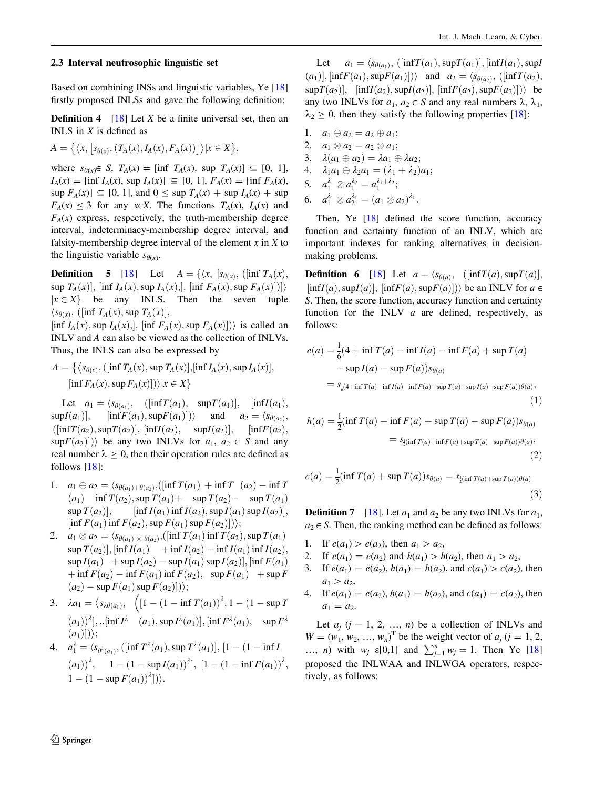#### <span id="page-3-0"></span>2.3 Interval neutrosophic linguistic set

Based on combining INSs and linguistic variables, Ye [[18\]](#page-11-0) firstly proposed INLSs and gave the following definition:

**Definition 4** [[18\]](#page-11-0) Let X be a finite universal set, then an INLS in  $X$  is defined as

$$
A = \left\{ \left\langle x, \left[ s_{\theta(x)}, (T_A(x), I_A(x), F_A(x)) \right] \right\rangle | x \in X \right\},\
$$

where  $s_{\theta(x)} \in S$ ,  $T_A(x) = [\inf T_A(x), \sup T_A(x)] \subseteq [0, 1],$  $I_A(x) = [\inf I_A(x), \sup I_A(x)] \subseteq [0, 1], F_A(x) = [\inf F_A(x),$  $\sup F_A(x) \leq [0, 1]$ , and  $0 \leq \sup T_A(x) + \sup I_A(x) + \sup$  $F_A(x) \leq 3$  for any  $x \in X$ . The functions  $T_A(x)$ ,  $I_A(x)$  and  $F_A(x)$  express, respectively, the truth-membership degree interval, indeterminacy-membership degree interval, and falsity-membership degree interval of the element  $x$  in  $X$  to the linguistic variable  $s_{\theta(x)}$ .

**Definition 5** [[18\]](#page-11-0) Let  $A = \{ \langle x, [s_{\theta(x)}, ([\inf T_A(x)],$ sup  $T_A(x)$ ,  $\left| \inf I_A(x), \sup I_A(x), \right|, \left| \inf F_A(x), \sup F_A(x) \right| \right|$  $|x \in X\}$  be any INLS. Then the seven tuple  $\langle s_{\theta(x)},$  (finf  $T_A(x),$  sup  $T_A(x)$ ),

 $\left\{ \inf I_A(x), \sup I_A(x), \inf F_A(x), \sup F_A(x) \right\}$  is called an INLV and A can also be viewed as the collection of INLVs. Thus, the INLS can also be expressed by

$$
A = \left\{ \langle s_{\theta(x)}, ([\inf T_A(x), \sup T_A(x)], [\inf I_A(x), \sup I_A(x)], \right\}
$$
  
[ $\inf F_A(x), \sup F_A(x)]$ )] $|x \in X$ }

Let  $a_1 = \langle s_{\theta(a_1)}, \{ \left[ \inf T(a_1), \sup T(a_1) \right], \{ \inf I(a_1), \} \}$  $\sup I(a_1)$ ,  $\left[ \inf F(a_1), \sup F(a_1) \right]$  and  $a_2 = \langle s_{\theta(a_2)}, \sup F(a_1) \rangle$  $([inf T(a_2), sup T(a_2)], [inf I(a_2), sup I(a_2)], [inf F(a_2),$  $\sup F(a_2)]$ ) be any two INLVs for  $a_1, a_2 \in S$  and any real number  $\lambda \geq 0$ , then their operation rules are defined as follows [[18\]](#page-11-0):

- 1.  $a_1 \oplus a_2 = \langle s_{\theta(a_1)+\theta(a_2)} , (\text{inf } T(a_1) + \text{inf } T(a_2) \text{inf } T \rangle$  $(a_1)$  inf  $T(a_2)$ , sup  $T(a_1)$  sup  $T(a_2)$  sup  $T(a_1)$  $\sup T(a_2)$ ,  $\qquad$  [inf  $I(a_1)$  inf  $I(a_2)$ ,  $\sup I(a_1)\sup I(a_2)$ ],  $\left\{ \inf F(a_1) \inf F(a_2), \sup F(a_1) \sup F(a_2) \right\} \right\};$
- 2.  $a_1 \otimes a_2 = \langle s_{\theta(a_1)} \times \theta(a_2), ([\inf T(a_1) \inf T(a_2), \sup T(a_1)) \rangle$  $\sup T(a_2)$ ,  $\int \inf I(a_1) + \inf I(a_2) - \inf I(a_1) \inf I(a_2)$ ,  $\sup I(a_1) + \sup I(a_2) - \sup I(a_1) \sup I(a_2)$ ],  $\inf F(a_1)$  $\frac{1}{\pi}$  inf  $F(a_2)$  – inf  $F(a_1)$  inf  $F(a_2)$ , sup  $F(a_1)$  + sup F  $(a_2)$  – sup  $F(a_1)$  sup  $F(a_2)\rvert$ );
- 3.  $\lambda a_1 = \langle s_{\lambda \theta(a_1)}, \left( \left[ 1 (1 \inf T(a_1))^{\lambda}, 1 (1 \sup T)\right] \right) \rangle$  $\frac{1}{2}$  $(a_1)$ <sup> $\lambda$ </sup>], ..[inf  $I^{\lambda}$   $(a_1)$ , sup  $I^{\lambda}(a_1)$ ], [inf  $F^{\lambda}(a_1)$ , sup  $F^{\lambda}$  $(a_1)\rangle$ ;
- 4.  $a_1^{\lambda} = \langle s_{\theta^{\lambda}(a_1)}, (\text{[inf } T^{\lambda}(a_1), \text{sup } T^{\lambda}(a_1)), [1 (1 \text{inf } I$  $(a_1)$ <sup> $\lambda$ </sup>,  $1 - (1 - \sup I(a_1))^{\lambda}$ ],  $[1 - (1 - \inf F(a_1))^{\lambda}$ ,  $1 - (1 - \sup F(a_1))^{\lambda}$ ]) $\rangle$ .

Let  $a_1 = \langle s_{\theta(a_1)}, \langle [\inf T(a_1), \sup T(a_1)], [\inf I(a_1), \sup I] \rangle$  $(a_1)$ ,  $\text{inf } F(a_1)$ ,  $\text{sup } F(a_1)$ ) and  $a_2 = \langle s_{\theta(a_2)}, \text{ (inf } T(a_2), \rangle$  $\sup T(a_2)$ ,  $\inf I(a_2)$ ,  $\sup I(a_2)$ ,  $\inf F(a_2)$ ,  $\sup F(a_2)$ )) be any two INLVs for  $a_1, a_2 \in S$  and any real numbers  $\lambda$ ,  $\lambda_1$ ,  $\lambda_2 \geq 0$ , then they satisfy the following properties [\[18](#page-11-0)]:

- 1.  $a_1 \oplus a_2 = a_2 \oplus a_1;$
- 2.  $a_1 \otimes a_2 = a_2 \otimes a_1;$
- 3.  $\lambda(a_1 \oplus a_2) = \lambda a_1 \oplus \lambda a_2;$
- 4.  $\lambda_1a_1 \oplus \lambda_2a_1 = (\lambda_1 + \lambda_2)a_1;$
- 5.  $a_1^{\lambda_1} \otimes a_1^{\lambda_2} = a_1^{\lambda_1 + \lambda_2};$
- 6.  $a_1^{\lambda_1} \otimes a_2^{\lambda_1} = (a_1 \otimes a_2)^{\lambda_1}.$

Then, Ye [\[18](#page-11-0)] defined the score function, accuracy function and certainty function of an INLV, which are important indexes for ranking alternatives in decisionmaking problems.

**Definition 6** [[18\]](#page-11-0) Let  $a = \langle s_{\theta(a)}, \{ \text{inf } T(a), \text{sup } T(a) \} \rangle$  $\left[ \inf I(a), \sup I(a) \right], \left[ \inf F(a), \sup F(a) \right]$  be an INLV for  $a \in$ S. Then, the score function, accuracy function and certainty function for the INLV  $a$  are defined, respectively, as follows:

$$
e(a) = \frac{1}{6}(4 + \inf T(a) - \inf I(a) - \inf F(a) + \sup T(a)
$$
  
- 
$$
\sup I(a) - \sup F(a)S_{\theta(a)}
$$
  
= 
$$
S_{\frac{1}{6}(4 + \inf T(a) - \inf I(a) - \inf F(a) + \sup T(a) - \sup I(a) - \sup F(a))\theta(a)},
$$
  
(1)

$$
h(a) = \frac{1}{2}(\inf T(a) - \inf F(a) + \sup T(a) - \sup F(a))s_{\theta(a)}
$$
  
=  $s_{\frac{1}{2}(\inf T(a) - \inf F(a) + \sup T(a) - \sup F(a))\theta(a)},$  (2)

$$
c(a) = \frac{1}{2}(\inf T(a) + \sup T(a))s_{\theta(a)} = s_{\frac{1}{2}(\inf T(a) + \sup T(a))\theta(a)}
$$
\n(3)

**Definition 7** [[18\]](#page-11-0). Let  $a_1$  and  $a_2$  be any two INLVs for  $a_1$ ,  $a_2 \in S$ . Then, the ranking method can be defined as follows:

- 1. If  $e(a_1) > e(a_2)$ , then  $a_1 > a_2$ ,
- 2. If  $e(a_1) = e(a_2)$  and  $h(a_1) > h(a_2)$ , then  $a_1 > a_2$ ,
- 3. If  $e(a_1) = e(a_2)$ ,  $h(a_1) = h(a_2)$ , and  $c(a_1) > c(a_2)$ , then  $a_1 > a_2$ ,
- 4. If  $e(a_1) = e(a_2)$ ,  $h(a_1) = h(a_2)$ , and  $c(a_1) = c(a_2)$ , then  $a_1 = a_2.$

Let  $a_i$   $(j = 1, 2, ..., n)$  be a collection of INLVs and  $W = (w_1, w_2, ..., w_n)^T$  be the weight vector of  $a_j$  ( $j = 1, 2, ...$ ) ..., *n*) with  $w_j$  ([0,1] and  $\sum_{j=1}^{n} w_j = 1$ . Then Ye [[18\]](#page-11-0) proposed the INLWAA and INLWGA operators, respectively, as follows: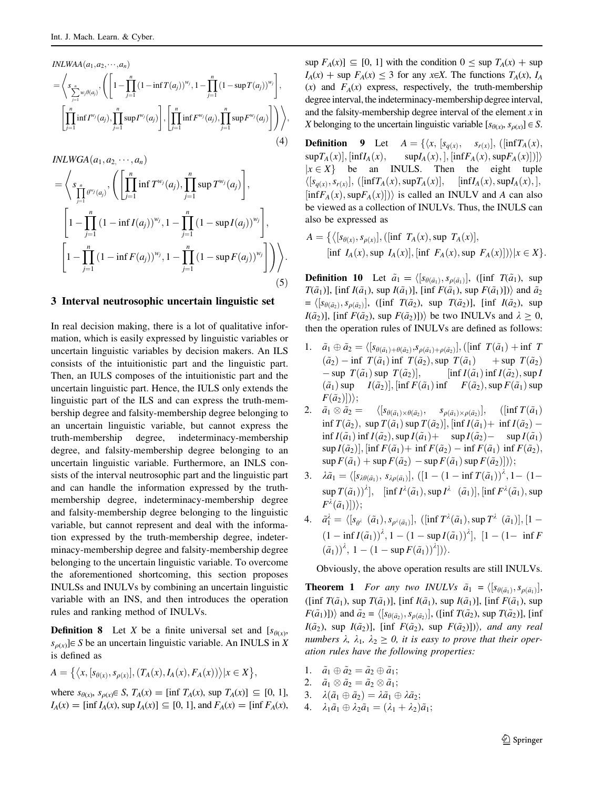<span id="page-4-0"></span> $INLWAA(a_1,a_2,\cdots,a_n)$ 

$$
= \left\langle s_{\sum_{j=1}^n w_j \theta(a_j)} , \left( \left[ 1 - \prod_{j=1}^n (1 - \inf T(a_j))^{w_j}, 1 - \prod_{j=1}^n (1 - \sup T(a_j))^{w_j} \right], \left[ \prod_{j=1}^n \inf T^{w_j}(a_j), \prod_{j=1}^n \sup F^{w_j}(a_j) \right] \right) \right\rangle,
$$
  

$$
\left\langle \prod_{j=1}^n \inf T^{w_j}(a_j), \prod_{j=1}^n \sup T^{w_j}(a_j) \right\rangle, \left\langle \prod_{j=1}^n \inf F^{w_j}(a_j), \prod_{j=1}^n \sup F^{w_j}(a_j) \right\rangle \right\rangle,
$$
(4)

 $\textit{INLWGA}(a_1, a_2, \cdots, a_n)$ 

$$
= \left\langle s_{\prod_{j=1}^{n} \theta^{w_j}(a_j)}, \left( \left[ \prod_{j=1}^{n} \inf T^{w_j}(a_j), \prod_{j=1}^{n} \sup T^{w_j}(a_j) \right], \left[ 1 - \prod_{j=1}^{n} \left( 1 - \inf I(a_j) \right)^{w_j}, 1 - \prod_{j=1}^{n} \left( 1 - \sup I(a_j) \right)^{w_j} \right], \left[ 1 - \prod_{j=1}^{n} \left( 1 - \inf F(a_j) \right)^{w_j}, 1 - \prod_{j=1}^{n} \left( 1 - \sup F(a_j) \right)^{w_j} \right] \right\rangle \right\rangle.
$$
\n(5)

#### 3 Interval neutrosophic uncertain linguistic set

In real decision making, there is a lot of qualitative information, which is easily expressed by linguistic variables or uncertain linguistic variables by decision makers. An ILS consists of the intuitionistic part and the linguistic part. Then, an IULS composes of the intuitionistic part and the uncertain linguistic part. Hence, the IULS only extends the linguistic part of the ILS and can express the truth-membership degree and falsity-membership degree belonging to an uncertain linguistic variable, but cannot express the truth-membership degree, indeterminacy-membership degree, and falsity-membership degree belonging to an uncertain linguistic variable. Furthermore, an INLS consists of the interval neutrosophic part and the linguistic part and can handle the information expressed by the truthmembership degree, indeterminacy-membership degree and falsity-membership degree belonging to the linguistic variable, but cannot represent and deal with the information expressed by the truth-membership degree, indeterminacy-membership degree and falsity-membership degree belonging to the uncertain linguistic variable. To overcome the aforementioned shortcoming, this section proposes INULSs and INULVs by combining an uncertain linguistic variable with an INS, and then introduces the operation rules and ranking method of INULVs.

**Definition 8** Let X be a finite universal set and  $[s_{\theta(x)},$  $s_{\rho(x)} \in S$  be an uncertain linguistic variable. An INULS in X is defined as

$$
A = \left\{ \left\langle x, [s_{\theta(x)}, s_{\rho(x)}], (T_A(x), I_A(x), F_A(x)) \right\rangle | x \in X \right\},\
$$

where  $s_{\theta(x)}$ ,  $s_{\rho(x)} \in S$ ,  $T_A(x) = [\inf T_A(x), \sup T_A(x)] \subseteq [0, 1],$  $I_A(x) = [\inf I_A(x), \sup I_A(x)] \subseteq [0, 1],$  and  $F_A(x) = [\inf F_A(x),$ 

 $\sup F_A(x) \leq [0, 1]$  with the condition  $0 \leq \sup T_A(x) + \sup$  $I_A(x)$  + sup  $F_A(x) \le 3$  for any x $\infty$ . The functions  $T_A(x)$ ,  $I_A$ (x) and  $F_A(x)$  express, respectively, the truth-membership degree interval, the indeterminacy-membership degree interval, and the falsity-membership degree interval of the element  $x$  in X belonging to the uncertain linguistic variable  $[s_{\theta(x)}, s_{\rho(x)}] \in S$ .

**Definition** 9 Let  $A = \{ \langle x, [s_{q(x)}, s_{r(x)}], ([\inf T_A(x),$  $\sup T_A(x)$ ,  $\inf I_A(x)$ ,  $\sup I_A(x)$ ,  $\inf F_A(x)$ ,  $\sup F_A(x)$ )))  $|x \in X\}$  be an INULS. Then the eight tuple  $\langle [s_{q(x)}, s_{r(x)}], \, ([\inf T_A(x), \sup T_A(x)], \quad [\inf I_A(x), \sup I_A(x)]$  $\left\{ \inf F_A(x), \sup F_A(x) \right\}$  is called an INULV and A can also be viewed as a collection of INULVs. Thus, the INULS can also be expressed as

$$
A = \{ \langle [s_{\theta(x)}, s_{\rho(x)}], ([\inf T_A(x), \sup T_A(x)],
$$
  
[ $\inf I_A(x), \sup I_A(x)$ ], [ $\inf F_A(x), \sup F_A(x)$ ]] $\rangle | x \in X \}.$ 

**Definition 10** Let  $\tilde{a}_1 = \langle [s_{\theta(\tilde{a}_1)}, s_{\rho(\tilde{a}_1)}],$  ([inf  $T(\tilde{a}_1)$ , sup  $T(\tilde{a}_1)$ ], [inf  $I(\tilde{a}_1)$ , sup  $I(\tilde{a}_1)$ ], [inf  $F(\tilde{a}_1)$ , sup  $F(\tilde{a}_1)$ ]) and  $\tilde{a}_2$  $=\langle [s_{\theta(\tilde{a}_2)}, s_{\rho(\tilde{a}_2)}],$  ([inf  $T(\tilde{a}_2),$  sup  $T(\tilde{a}_2)$ ], [inf  $I(\tilde{a}_2),$  sup  $I(\tilde{a}_2)$ ], [inf  $F(\tilde{a}_2)$ , sup  $F(\tilde{a}_2)$ ]) be two INULVs and  $\lambda \geq 0$ , then the operation rules of INULVs are defined as follows:

- 1.  $\tilde{a}_1 \oplus \tilde{a}_2 = \langle [s_{\theta(\tilde{a}_1)+\theta(\tilde{a}_2)}, s_{\rho(\tilde{a}_1)+\rho(\tilde{a}_2)}], ([\inf T(\tilde{a}_1)+\inf T(\tilde{a}_2)]\rangle$  $\tilde{\sigma}(\tilde{a}_2)$  - inf  $T(\tilde{a}_1)$  inf  $T(\tilde{a}_2)$ , sup  $T(\tilde{a}_1)$  + sup  $T(\tilde{a}_2)$  $s = \sup T(\tilde{a}_1) \sup T(\tilde{a}_2)$ ,  $\qquad \qquad [ \inf I(\tilde{a}_1) \inf I(\tilde{a}_2), \sup I(\tilde{a}_1) ]$  $\left(\tilde{a}_{1}\right)$  sup  $I(\tilde{a}_{2})$ ,  $\left[\inf F(\tilde{a}_{1})\inf F(\tilde{a}_{2}), \sup F(\tilde{a}_{1})\sup$  $F(\tilde{a}_2)\rangle$ ;
- 2.  $\tilde{a}_1 \otimes \tilde{a}_2 = \langle [s_{\theta(\tilde{a}_1)} \times \theta(\tilde{a}_2)}, \quad s_{\rho(\tilde{a}_1)} \times \theta(\tilde{a}_2)], \quad (\text{inf } T(\tilde{a}_1))$ inf  $T(\tilde{a}_2)$ , sup  $T(\tilde{a}_1)$  sup  $T(\tilde{a}_2)$ ,  $\left[\inf I(\tilde{a}_1)+\inf I(\tilde{a}_2)-\right]$ inf  $I(\tilde{a}_1)$  inf  $I(\tilde{a}_2)$ , sup  $I(\tilde{a}_1)$  = sup  $I(\tilde{a}_2)$  = sup  $I(\tilde{a}_1)$  $\sup I(\tilde{a}_2)$ ,  $\inf F(\tilde{a}_1)+\inf F(\tilde{a}_2)-\inf F(\tilde{a}_1)\inf F(\tilde{a}_2)$ ,  $\sup F(\tilde{a}_1)+\sup F(\tilde{a}_2)-\sup F(\tilde{a}_1)\sup F(\tilde{a}_2)]\rangle;$
- 3.  $\lambda \tilde{a}_1 = \langle [s_{\lambda\theta(\tilde{a}_1)}, s_{\lambda\rho(\tilde{a}_1)}], ([1 (1 \inf T(\tilde{a}_1))^{\lambda}, 1 (1 \sup T(\tilde{a}_1)^{\lambda}], \quad [\inf I^{\lambda}(\tilde{a}_1), \sup I^{\lambda} \quad (\tilde{a}_1)], [\inf F^{\lambda}(\tilde{a}_1), \sup$  $F^{\lambda}(\tilde{a}_1)$ ]);
- 4.  $\tilde{a}_1^{\lambda} = \langle [s_{\theta^{\lambda}}(\tilde{a}_1), s_{\rho^{\lambda}(\tilde{a}_1)}], ([\inf T^{\lambda}(\tilde{a}_1), \sup T^{\lambda}(\tilde{a}_1)], [1 (1 - \inf I(\tilde{a}_1))^{\lambda}, 1 - (1 - \sup I(\tilde{a}_1))^{\lambda}], [1 - (1 - \inf F)]$  $(\tilde{a}_1)$ , 1 –  $(1 - \sup F(\tilde{a}_1))^{\lambda}$ ]).

Obviously, the above operation results are still INULVs.

**Theorem 1** For any two INULVs  $\tilde{a}_1 = \langle [s_{\theta(\tilde{a}_1)}, s_{\rho(\tilde{a}_1)}],$ ([inf  $T(\tilde{a}_1)$ , sup  $T(\tilde{a}_1)$ ], [inf  $I(\tilde{a}_1)$ , sup  $I(\tilde{a}_1)$ ], [inf  $F(\tilde{a}_1)$ , sup  $F(\tilde{a}_1)|$ ) and  $\tilde{a}_2 = \langle [s_{\theta(\tilde{a}_2)}, s_{\rho(\tilde{a}_2)}],$  ([inf  $T(\tilde{a}_2)$ , sup  $T(\tilde{a}_2)$ ], [inf  $I(\tilde{a}_2)$ , sup  $I(\tilde{a}_2)$ ], [inf  $F(\tilde{a}_2)$ , sup  $F(\tilde{a}_2)$ ])), and any real numbers  $\lambda$ ,  $\lambda_1$ ,  $\lambda_2 \geq 0$ , it is easy to prove that their operation rules have the following properties:

- 1.  $\tilde{a}_1 \oplus \tilde{a}_2 = \tilde{a}_2 \oplus \tilde{a}_1;$
- 2.  $\tilde{a}_1 \otimes \tilde{a}_2 = \tilde{a}_2 \otimes \tilde{a}_1;$
- 3.  $\lambda(\tilde{a}_1 \oplus \tilde{a}_2) = \lambda \tilde{a}_1 \oplus \lambda \tilde{a}_2;$
- 4.  $\lambda_1 \tilde{a}_1 \oplus \lambda_2 \tilde{a}_1 = (\lambda_1 + \lambda_2) \tilde{a}_1;$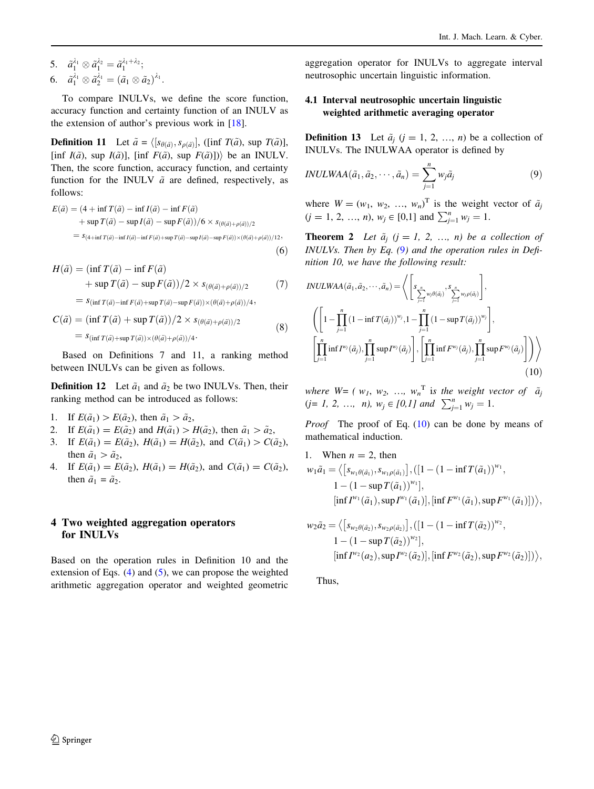- <span id="page-5-0"></span>5.  $\tilde{a}_1^{\lambda_1} \otimes \tilde{a}_1^{\lambda_2} = \tilde{a}_1^{\lambda_1 + \lambda_2};$
- 6.  $\tilde{a}_1^{\lambda_1} \otimes \tilde{a}_2^{\lambda_1} = (\tilde{a}_1 \otimes \tilde{a}_2)^{\lambda_1}.$

To compare INULVs, we define the score function, accuracy function and certainty function of an INULV as the extension of author's previous work in [\[18\]](#page-11-0).

**Definition 11** Let  $\tilde{a} = \langle [s_{\theta(\tilde{a})}, s_{\rho(\tilde{a})}], ([\inf T(\tilde{a}), \sup T(\tilde{a})],$ [inf  $I(\tilde{a})$ , sup  $I(\tilde{a})$ ], [inf  $F(\tilde{a})$ , sup  $F(\tilde{a})$ ]) be an INULV. Then, the score function, accuracy function, and certainty function for the INULV  $\tilde{a}$  are defined, respectively, as follows:

$$
E(\tilde{a}) = (4 + \inf T(\tilde{a}) - \inf I(\tilde{a}) - \inf F(\tilde{a})
$$
  
+ 
$$
\sup T(\tilde{a}) - \sup I(\tilde{a}) - \sup F(\tilde{a})/6 \times s_{(\theta(\tilde{a}) + \rho(\tilde{a}))/2}
$$
  
= 
$$
s_{(4 + \inf T(\tilde{a}) - \inf I(\tilde{a}) - \inf F(\tilde{a}) + \sup T(\tilde{a}) - \sup I(\tilde{a}) - \sup F(\tilde{a}) \times (\theta(\tilde{a}) + \rho(\tilde{a}))/12},
$$
  
(6)

$$
H(\tilde{a}) = (\inf T(\tilde{a}) - \inf F(\tilde{a})
$$
  
+ 
$$
\sup T(\tilde{a}) - \sup F(\tilde{a}) / 2 \times s_{(\theta(\tilde{a}) + \rho(\tilde{a}))/2}
$$
 (7)

 $= S(\inf T(\tilde{a}) - \inf F(\tilde{a}) + \sup T(\tilde{a}) - \sup F(\tilde{a}) \times (\theta(\tilde{a}) + \rho(\tilde{a})) / 4,$ 

$$
C(\tilde{a}) = (\inf T(\tilde{a}) + \sup T(\tilde{a}))/2 \times s_{(\theta(\tilde{a}) + \rho(\tilde{a}))/2}
$$
  
=  $s_{(\inf T(\tilde{a}) + \sup T(\tilde{a})) \times (\theta(\tilde{a}) + \rho(\tilde{a}))/4}.$  (8)

Based on Definitions 7 and 11, a ranking method between INULVs can be given as follows.

**Definition 12** Let  $\tilde{a}_1$  and  $\tilde{a}_2$  be two INULVs. Then, their ranking method can be introduced as follows:

- 1. If  $E(\tilde{a}_1) > E(\tilde{a}_2)$ , then  $\tilde{a}_1 > \tilde{a}_2$ ,
- 2. If  $E(\tilde{a}_1) = E(\tilde{a}_2)$  and  $H(\tilde{a}_1) > H(\tilde{a}_2)$ , then  $\tilde{a}_1 > \tilde{a}_2$ ,
- 3. If  $E(\tilde{a}_1) = E(\tilde{a}_2)$ ,  $H(\tilde{a}_1) = H(\tilde{a}_2)$ , and  $C(\tilde{a}_1) > C(\tilde{a}_2)$ , then  $\tilde{a}_1 > \tilde{a}_2$ ,
- 4. If  $E(\tilde{a}_1) = E(\tilde{a}_2)$ ,  $H(\tilde{a}_1) = H(\tilde{a}_2)$ , and  $C(\tilde{a}_1) = C(\tilde{a}_2)$ , then  $\tilde{a}_1 = \tilde{a}_2$ .

# 4 Two weighted aggregation operators for INULVs

Based on the operation rules in Definition 10 and the extension of Eqs.  $(4)$  $(4)$  and  $(5)$  $(5)$ , we can propose the weighted arithmetic aggregation operator and weighted geometric aggregation operator for INULVs to aggregate interval neutrosophic uncertain linguistic information.

# 4.1 Interval neutrosophic uncertain linguistic weighted arithmetic averaging operator

**Definition 13** Let  $\tilde{a}_i$  ( $j = 1, 2, ..., n$ ) be a collection of INULVs. The INULWAA operator is defined by

$$
INULWAA(\tilde{a}_1, \tilde{a}_2, \cdots, \tilde{a}_n) = \sum_{j=1}^n w_j \tilde{a}_j
$$
 (9)

where  $W = (w_1, w_2, ..., w_n)^T$  is the weight vector of  $\tilde{a}_j$ (i)  $y_1, y_2, ..., y_n$  is the neighborhood  $(j = 1, 2, ..., n), w_j \in [0,1]$  and  $\sum_{j=1}^{n} w_j = 1$ .

**Theorem 2** Let  $\tilde{a}_j$  (j = 1, 2, ..., n) be a collection of INULVs. Then by Eq.  $(9)$  and the operation rules in Definition 10, we have the following result:

$$
INULWAA(\tilde{a}_1, \tilde{a}_2, \cdots, \tilde{a}_n) = \left\langle \left[ s_{\sum_{j=1}^n w_j \theta(\tilde{a}_j)}, s_{\sum_{j=1}^n w_j \theta(\tilde{a}_j)} \right], \left[ 1 - \prod_{j=1}^n (1 - \inf T(\tilde{a}_j))^{w_j}, 1 - \prod_{j=1}^n (1 - \sup T(\tilde{a}_j))^{w_j} \right], \left[ \prod_{j=1}^n \inf F^{w_j}(\tilde{a}_j), \prod_{j=1}^n \sup F^{w_j}(\tilde{a}_j) \right] \right\rangle \right\rangle
$$
\n
$$
(10)
$$

where  $W = (w_1, w_2, ..., w_n^T)$  is the weight vector of  $\tilde{a}_j$ (i)  $(i=1, 2, ..., n)$ ,  $w_j \in [0,1]$  and  $\sum_{j=1}^{n} w_j = 1$ .

Proof The proof of Eq. (10) can be done by means of mathematical induction.

1. When 
$$
n = 2
$$
, then  
\n
$$
w_1 \tilde{a}_1 = \langle [s_{w_1 \theta(\tilde{a}_1)}, s_{w_1 \rho(\tilde{a}_1)}], ([1 - (1 - \inf T(\tilde{a}_1)))^{w_1},
$$
\n
$$
1 - (1 - \sup T(\tilde{a}_1)))^{w_1}],
$$
\n
$$
[\inf I^{w_1}(\tilde{a}_1), \sup I^{w_1}(\tilde{a}_1)], [\inf F^{w_1}(\tilde{a}_1), \sup F^{w_1}(\tilde{a}_1)]\rangle,
$$

$$
w_2\tilde{a}_2 = \langle [s_{w_2\theta(\tilde{a}_2)}, s_{w_2\rho(\tilde{a}_2)}], ([1 - (1 - \inf T(\tilde{a}_2)))^{w_2},
$$
  
\n
$$
1 - (1 - \sup T(\tilde{a}_2)))^{w_2}],
$$
  
\n
$$
[\inf P^{w_2}(a_2), \sup P^{w_2}(\tilde{a}_2)], [\inf F^{w_2}(\tilde{a}_2), \sup F^{w_2}(\tilde{a}_2)])\rangle,
$$

Thus,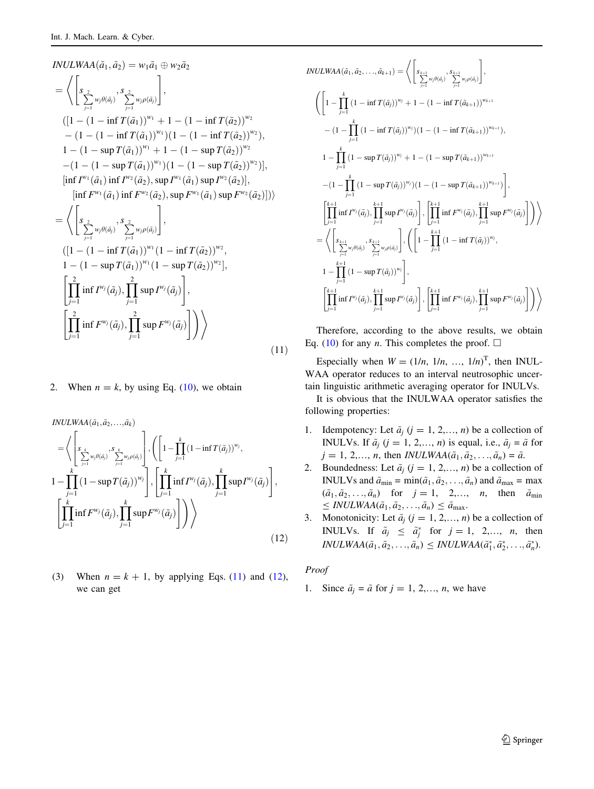$$
INULWAA(\tilde{a}_1, \tilde{a}_2) = w_1\tilde{a}_1 \oplus w_2\tilde{a}_2
$$
\n
$$
= \left\langle \left[ s_{\sum_{j=1}^2 w_j \theta(\tilde{a}_j)} , s_{\sum_{j=1}^2 w_j \rho(\tilde{a}_j)} \right], \left( [1 - (1 - \inf T(\tilde{a}_1))^{w_1} + 1 - (1 - \inf T(\tilde{a}_2))^{w_2} \right] - (1 - (1 - \inf T(\tilde{a}_1))^{w_1}) (1 - (1 - \inf T(\tilde{a}_2))^{w_2}),
$$
\n
$$
1 - (1 - \sup T(\tilde{a}_1))^{w_1} + 1 - (1 - \sup T(\tilde{a}_2))^{w_2} - (1 - (1 - \sup T(\tilde{a}_1))^{w_1}) (1 - (1 - \sup T(\tilde{a}_2))^{w_2}),
$$
\n
$$
= (1 - (1 - \sup T(\tilde{a}_1))^{w_1}) (1 - (1 - \sup T(\tilde{a}_2))^{w_2}),
$$
\n
$$
= \left\langle \left[ s_{\frac{2}{\sum_{j=1}^2 w_j \theta(\tilde{a}_j)}} , s_{\frac{2}{\sum_{j=1}^2 w_j \rho(\tilde{a}_j)}} \right], \left( [1 - (1 - \inf T(\tilde{a}_1))^{w_1} (1 - \inf T(\tilde{a}_2))^{w_2}, \right) - (1 - \sup T(\tilde{a}_1))^{w_1} (1 - \sup T(\tilde{a}_2))^{w_2},
$$
\n
$$
1 - (1 - \sup T(\tilde{a}_1))^{w_1} (1 - \sup T(\tilde{a}_2))^{w_2},
$$
\n
$$
= \left\langle \prod_{j=1}^2 \inf T^{w_j}(\tilde{a}_j), \prod_{j=1}^2 \sup T^{w_j}(\tilde{a}_j) \right\rangle,
$$
\n
$$
= \left\langle \prod_{j=1}^2 \inf T^{w_j}(\tilde{a}_j), \prod_{j=1}^2 \sup F^{w_j}(\tilde{a}_j) \right\rangle \right\rangle
$$
\n
$$
(11)
$$

2. When  $n = k$ , by using Eq. [\(10](#page-5-0)), we obtain

$$
IVULWAA(\tilde{a}_1, \tilde{a}_2, ..., \tilde{a}_k)
$$
\n
$$
= \left\langle \left[ s_{\sum_{j=1}^k w_j \theta(\tilde{a}_j)}, s_{\sum_{j=1}^k w_j \theta(\tilde{a}_j)} \right], \left( \left[ 1 - \prod_{j=1}^k (1 - \inf T(\tilde{a}_j))^{w_j}, 1 - \prod_{j=1}^k (1 - \sup T(\tilde{a}_j))^{w_j} \right], \left[ \prod_{j=1}^k \inf T^{w_j}(\tilde{a}_j), \prod_{j=1}^k \sup T^{w_j}(\tilde{a}_j) \right], \left[ \prod_{j=1}^k \inf F^{w_j}(\tilde{a}_j), \prod_{j=1}^k \sup F^{w_j}(\tilde{a}_j) \right] \right\rangle
$$
\n
$$
(12)
$$

(3) When  $n = k + 1$ , by applying Eqs. [\(11](#page-5-0)) and (12), we can get

$$
INULWAA(\tilde{a}_1, \tilde{a}_2, ..., \tilde{a}_{k+1}) = \left\langle \left[ s_{\sum_{j=1}^{k+1} w_j \theta(\tilde{a}_j)}, s_{\sum_{j=1}^{k+1} w_j \theta(\tilde{a}_j)} \right], \right\rangle
$$
  

$$
\left( \left[ 1 - \prod_{j=1}^{k} (1 - \inf T(\tilde{a}_j))^{w_j} + 1 - (1 - \inf T(\tilde{a}_{k+1}))^{w_{k+1}} - (1 - \prod_{j=1}^{k} (1 - \inf T(\tilde{a}_j))^{w_j})(1 - (1 - \inf T(\tilde{a}_{k+1}))^{w_{k+1}}), \right]
$$
  

$$
1 - \prod_{j=1}^{k} (1 - \sup T(\tilde{a}_j))^{w_j} + 1 - (1 - \sup T(\tilde{a}_{k+1}))^{w_{k+1}}
$$
  

$$
- (1 - \prod_{j=1}^{k} (1 - \sup T(\tilde{a}_j))^{w_j})(1 - (1 - \sup T(\tilde{a}_{k+1}))^{w_{k+1}}) \right],
$$
  

$$
\left[ \prod_{j=1}^{k+1} \inf T^{w_j}(\tilde{a}_j), \prod_{j=1}^{k+1} \sup T^{w_j}(\tilde{a}_j) \right], \left[ \prod_{j=1}^{k+1} \inf F^{w_j}(\tilde{a}_j), \prod_{j=1}^{k+1} \sup F^{w_j}(\tilde{a}_j) \right] \right\rangle
$$
  

$$
= \left\langle \left[ s_{\sum_{j=1}^{k+1} w_j \theta(\tilde{a}_j)}, s_{\sum_{j=1}^{k+1} w_j \rho(\tilde{a}_j)} \right], \left( \left[ 1 - \prod_{j=1}^{k+1} (1 - \inf T(\tilde{a}_j))^{w_j}, \right] - 1 - \prod_{j=1}^{k+1} (1 - \sup T(\tilde{a}_j))^{w_j} \right], \left[ \prod_{j=1}^{k+1} \inf F^{w_j}(\tilde{a}_j), \prod_{j=1}^{k+1} \sup F^{w_j}(\tilde{a}_j) \right] \right\rangle
$$

Therefore, according to the above results, we obtain Eq. [\(10](#page-5-0)) for any *n*. This completes the proof.  $\Box$ 

Especially when  $W = (1/n, 1/n, ..., 1/n)^T$ , then INUL-WAA operator reduces to an interval neutrosophic uncertain linguistic arithmetic averaging operator for INULVs.

It is obvious that the INULWAA operator satisfies the following properties:

- 1. Idempotency: Let  $\tilde{a}_j$   $(j = 1, 2, \ldots, n)$  be a collection of INULVs. If  $\tilde{a}_j$  (j = 1, 2,..., n) is equal, i.e.,  $\tilde{a}_j = \tilde{a}$  for  $j = 1, 2, \ldots, n$ , then *INULWAA*( $\tilde{a}_1, \tilde{a}_2, \ldots, \tilde{a}_n$ ) =  $\tilde{a}$ .
- 2. Boundedness: Let  $\tilde{a}_j$  ( $j = 1, 2, \ldots, n$ ) be a collection of INULVs and  $\tilde{a}_{min} = min(\tilde{a}_1, \tilde{a}_2, \ldots, \tilde{a}_n)$  and  $\tilde{a}_{max} = max$  $(\tilde{a}_1, \tilde{a}_2, \ldots, \tilde{a}_n)$  for  $j = 1, 2, \ldots, n$ , then  $\tilde{a}_{\min}$  $\leq INULWAA(\tilde{a}_1, \tilde{a}_2, \ldots, \tilde{a}_n) \leq \tilde{a}_{\text{max}}.$
- 3. Monotonicity: Let  $\tilde{a}_j$   $(j = 1, 2, \ldots, n)$  be a collection of INULVs. If  $\tilde{a}_j \leq \tilde{a}_j^*$  for  $j = 1, 2, ..., n$ , then  $INULWAA(\tilde{a}_1, \tilde{a}_2, \ldots, \tilde{a}_n) \leq INULWAA(\tilde{a}_1^*, \tilde{a}_2^*, \ldots, \tilde{a}_n^*)$ .

# Proof

1. Since  $\tilde{a}_i = \tilde{a}$  for  $j = 1, 2, \ldots, n$ , we have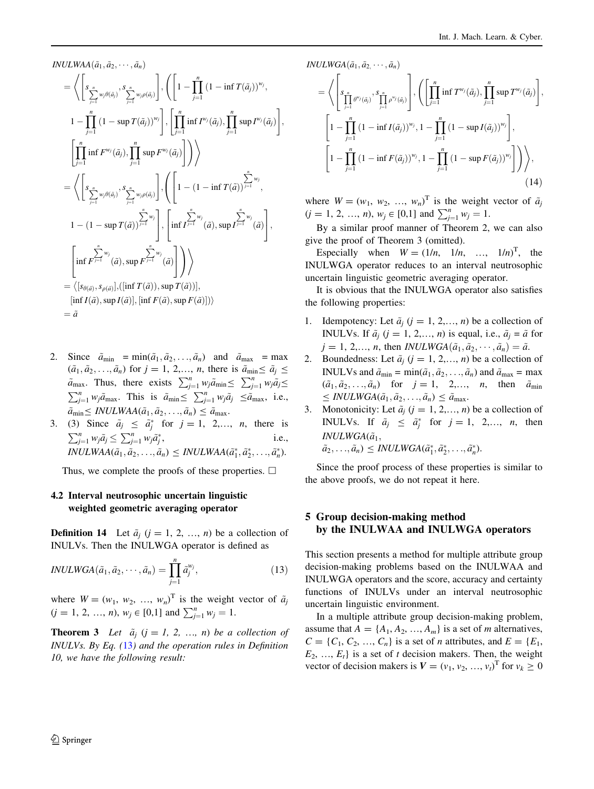$INULWAA(\tilde{a}_1, \tilde{a}_2, \cdots, \tilde{a}_n)$ 

$$
= \left\langle \left[ s_{\sum_{j=1}^{n} w_{j}\theta(\tilde{a}_{j})}, s_{\sum_{j=1}^{n} w_{j}\rho(\tilde{a}_{j})} \right], \left( \left[ 1 - \prod_{j=1}^{n} (1 - \inf T(\tilde{a}_{j}))^{w_{j}}, \right] \right] \right\rangle
$$
  
\n
$$
1 - \prod_{j=1}^{n} (1 - \sup T(\tilde{a}_{j}))^{w_{j}} \right], \left[ \prod_{j=1}^{n} \inf T^{w_{j}}(\tilde{a}_{j}), \prod_{j=1}^{n} \sup T^{w_{j}}(\tilde{a}_{j}) \right],
$$
  
\n
$$
\left[ \prod_{j=1}^{n} \inf F^{w_{j}}(\tilde{a}_{j}), \prod_{j=1}^{n} \sup F^{w_{j}}(\tilde{a}_{j}) \right] \right\rangle
$$
  
\n
$$
= \left\langle \left[ s_{\sum_{j=1}^{n} w_{j}\theta(\tilde{a}_{j})}, s_{\sum_{j=1}^{n} w_{j}\rho(\tilde{a}_{j})} \right], \left( \left[ 1 - (1 - \inf T(\tilde{a}))^{\sum_{j=1}^{n} w_{j}} \right], \left[ \inf T^{\sum_{j=1}^{n} w_{j}}(\tilde{a}), \sup T^{\sum_{j=1}^{n} w_{j}}(\tilde{a}) \right], \left[ \inf F^{\sum_{j=1}^{n} w_{j}}(\tilde{a}), \sup T^{\sum_{j=1}^{n} w_{j}}(\tilde{a}) \right],
$$
  
\n
$$
= \left\langle [s_{\theta(\tilde{a})}, s_{\rho(\tilde{a})}], ([\inf T(\tilde{a})), \sup T(\tilde{a})] \right\rangle
$$
  
\n
$$
= \tilde{a}
$$

- 2. Since  $\tilde{a}_{min} = \min(\tilde{a}_1, \tilde{a}_2, \ldots, \tilde{a}_n)$  and  $\tilde{a}_{max} = \max$  $(\tilde{a}_1, \tilde{a}_2, \ldots, \tilde{a}_n)$  for  $j = 1, 2, \ldots, n$ , there is  $\tilde{a}_{\text{min}} \leq \tilde{a}_j \leq$  $\tilde{a}_{\text{max}}$ . Thus, there exists  $\sum_{j=1}^{n} w_j \tilde{a}_{\text{min}} \le \sum_{j=1}^{n} w_j \tilde{a}_j$  $\sum_{j=1}^{n} w_j \tilde{a}_{\text{max}}$ . This is  $\tilde{a}_{\text{min}} \le \sum_{j=1}^{n} w_j \tilde{a}_j \le \tilde{a}_{\text{max}}$ , i.e.,  $\tilde{a}_{\min} \leq \text{INULWAA}(\tilde{a}_1, \tilde{a}_2, \ldots, \tilde{a}_n) \leq \tilde{a}_{\max}.$
- 3. (3) Since  $\tilde{a}_j \leq \tilde{a}_j^*$  for  $j = 1, 2, \ldots, n$ , there is  $\sum_{j=1}^n w_j \tilde{a}_j \leq \sum_{j=1}^n w_j \tilde{a}_j^*$  $j^*$ , i.e.,  $INULWAA(\tilde{a}_1, \tilde{a}_2, \ldots, \tilde{a}_n) \leq INULWAA(\tilde{a}_1^*, \tilde{a}_2^*, \ldots, \tilde{a}_n^*)$ .

Thus, we complete the proofs of these properties.  $\Box$ 

# 4.2 Interval neutrosophic uncertain linguistic weighted geometric averaging operator

**Definition 14** Let  $\tilde{a}_i$  ( $j = 1, 2, ..., n$ ) be a collection of INULVs. Then the INULWGA operator is defined as

$$
INULWGA(\tilde{a}_1, \tilde{a}_2, \cdots, \tilde{a}_n) = \prod_{j=1}^n \tilde{a}_j^{w_j},
$$
\n(13)

where  $W = (w_1, w_2, ..., w_n)^T$  is the weight vector of  $\tilde{a}_j$ (i)  $y_1, y_2, ..., y_n$  is the neighborhood  $(j = 1, 2, ..., n), w_j \in [0,1]$  and  $\sum_{j=1}^{n} w_j = 1$ .

**Theorem 3** Let  $\tilde{a}_i$  ( $j = 1, 2, ..., n$ ) be a collection of INULVs. By Eq. (13) and the operation rules in Definition 10, we have the following result:

$$
INULWGA(\tilde{a}_1, \tilde{a}_2, \cdots, \tilde{a}_n)
$$
\n
$$
= \left\langle \left[ \sum_{j=1}^s \sum_{j=1}^n \sum_{j=1}^n \sum_{j=1}^n \sum_{j=1}^n \sum_{j=1}^n \sum_{j=1}^n \sum_{j=1}^n \sum_{j=1}^n \sum_{j=1}^n \sum_{j=1}^n \sum_{j=1}^n (1 - \inf I(\tilde{a}_j))^{w_j}, 1 - \prod_{j=1}^n (1 - \sup I(\tilde{a}_j))^{w_j} \right],
$$
\n
$$
\left[ 1 - \prod_{j=1}^n (1 - \inf F(\tilde{a}_j))^{w_j}, 1 - \prod_{j=1}^n (1 - \sup F(\tilde{a}_j))^{w_j} \right] \right\rangle, \tag{14}
$$

where  $W = (w_1, w_2, ..., w_n)^T$  is the weight vector of  $\tilde{a}_j$  $(j = 1, 2, ..., n), w_j \in [0,1]$  and  $\sum_{j=1}^{n} w_j = 1$ .

By a similar proof manner of Theorem 2, we can also give the proof of Theorem 3 (omitted).

Especially when  $W = (1/n, 1/n, ..., 1/n)^T$ , the INULWGA operator reduces to an interval neutrosophic uncertain linguistic geometric averaging operator.

It is obvious that the INULWGA operator also satisfies the following properties:

- 1. Idempotency: Let  $\tilde{a}_i$   $(j = 1, 2, \ldots, n)$  be a collection of INULVs. If  $\tilde{a}_j$  (j = 1, 2,..., n) is equal, i.e.,  $\tilde{a}_j = \tilde{a}$  for  $j = 1, 2, \ldots, n$ , then *INULWGA* $(\tilde{a}_1, \tilde{a}_2, \cdots, \tilde{a}_n) = \tilde{a}$ .
- 2. Boundedness: Let  $\tilde{a}_i$   $(j = 1, 2, \ldots, n)$  be a collection of INULVs and  $\tilde{a}_{min} = min(\tilde{a}_1, \tilde{a}_2, \ldots, \tilde{a}_n)$  and  $\tilde{a}_{max} = max$  $(\tilde{a}_1, \tilde{a}_2, \ldots, \tilde{a}_n)$  for  $j = 1, 2, \ldots, n$ , then  $\tilde{a}_{\min}$  $\leq INULWGA(\tilde{a}_1, \tilde{a}_2, \ldots, \tilde{a}_n) \leq \tilde{a}_{\text{max}}.$
- 3. Monotonicity: Let  $\tilde{a}_j$  (j = 1, 2,..., n) be a collection of INULVs. If  $\tilde{a}_j \leq \tilde{a}_j^*$  for  $j = 1, 2, ..., n$ , then  $INULWGA(\tilde{a}_1,$  $\tilde{a}_2, \ldots, \tilde{a}_n) \leq \text{INULWGA}(\tilde{a}_1^*, \tilde{a}_2^*, \ldots, \tilde{a}_n^*)$ .

Since the proof process of these properties is similar to the above proofs, we do not repeat it here.

# 5 Group decision-making method by the INULWAA and INULWGA operators

This section presents a method for multiple attribute group decision-making problems based on the INULWAA and INULWGA operators and the score, accuracy and certainty functions of INULVs under an interval neutrosophic uncertain linguistic environment.

In a multiple attribute group decision-making problem, assume that  $A = \{A_1, A_2, ..., A_m\}$  is a set of m alternatives,  $C = \{C_1, C_2, ..., C_n\}$  is a set of *n* attributes, and  $E = \{E_1,$  $E_2, ..., E_t$  is a set of t decision makers. Then, the weight vector of decision makers is  $V = (v_1, v_2, ..., v_t)^T$  for  $v_k \ge 0$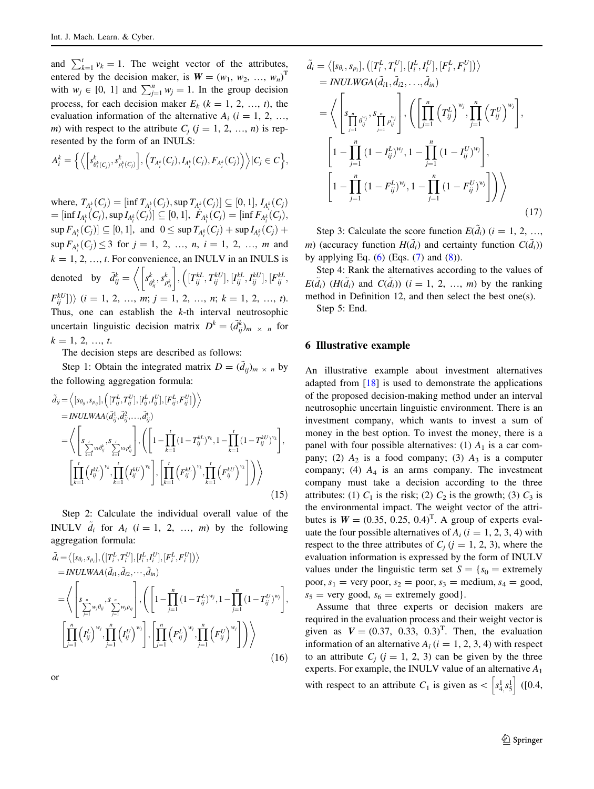<span id="page-8-0"></span>and  $\sum_{k=1}^{t} v_k = 1$ . The weight vector of the attributes, entered by the decision maker, is  $W = (w_1, w_2, ..., w_n)^T$ with  $w_j \in [0, 1]$  and  $\sum_{j=1}^n w_j = 1$ . In the group decision process, for each decision maker  $E_k$  ( $k = 1, 2, ..., t$ ), the evaluation information of the alternative  $A_i$  ( $i = 1, 2, ...,$ m) with respect to the attribute  $C_i$  ( $j = 1, 2, ..., n$ ) is represented by the form of an INULS:

$$
A_i^k = \Big\{ \Big\langle \Big[ s_{\theta_i^k(C_j)}^k, s_{\rho_i^k(C_j)}^k \Big], \Big(T_{A_i^k}(C_j), I_{A_i^k}(C_j), F_{A_i^k}(C_j)\Big) \Big\rangle | C_j \in C \Big\},
$$

where,  $T_{A_i^k}(C_j) = [\inf T_{A_i^k}(C_j), \sup T_{A_i^k}(C_j)] \subseteq [0,1], I_{A_i^k}(C_j)$  $=$   $\left[ \inf I_{A_i^k}(C_j), \sup I_{A_i^k}(C_j) \right] \subseteq [0, 1],$   $F_{A_i^k}(C_j) = \left[ \inf F_{A_i^k}(C_j), \right]$  $\sup F_{A_i^k}(C_j)] \subseteq [0,1], \text{ and } 0 \leq \sup T_{A_i^k}(C_j) + \sup I_{A_i^k}(C_j) +$  $\sup F_{A_i^k}(C_j) \leq 3$  for  $j = 1, 2, ..., n, i = 1, 2, ..., m$  and  $k = 1, 2, ..., t$ . For convenience, an INULV in an INULS is denoted by  $\tilde{d}_{ij}^k = \left\langle \begin{bmatrix} s_{\theta_{ij}^k}^k, s_{\rho_{ij}^k}^k \end{bmatrix} \right\rangle$  $,\left(\left[T^{kL}_{ij},T^{kU}_{ij}\right],\left[I^{kL}_{ij},I^{kU}_{ij}\right],\left[F^{kL}_{ij},\right.\right]$   $\langle F_{ij}^{kU} \rangle$   $(i = 1, 2, ..., m; j = 1, 2, ..., n; k = 1, 2, ..., t)$ . Thus, one can establish the  $k$ -th interval neutrosophic uncertain linguistic decision matrix  $D^k = (\tilde{d}_{ij}^k)_{m \times n}$  for  $k = 1, 2, ..., t$ .

The decision steps are described as follows:

Step 1: Obtain the integrated matrix  $D = (\tilde{d}_{ij})_{m \times n}$  by the following aggregation formula:

$$
\tilde{d}_{ij} = \left\langle [s_{\theta_{ij}}, s_{\rho_{ij}}], \left( [T_{ij}^L, T_{ij}^U], [I_{ij}^L, I_{ij}^U], [F_{ij}^L, F_{ij}^U] \right) \right\rangle \n= INULWAA(\tilde{d}_{ij}^1, \tilde{d}_{ij}^2, ..., \tilde{d}_{ij}^t) \n= \left\langle \left[ s_{\sum_{k=1}^t v_k \theta_{ij}^k}, \sum_{k=1}^r v_k \rho_{ij}^k \right], \left( \left[ 1 - \prod_{k=1}^t (1 - T_{ij}^{kL})^{v_k}, 1 - \prod_{k=1}^t (1 - T_{ij}^{kU})^{v_k} \right], \left[ \prod_{k=1}^t \left( F_{ij}^{kL} \right)^{v_k}, \prod_{k=1}^t \left( F_{ij}^{kU} \right)^{v_k} \right] \right\rangle
$$
\n(15)

Step 2: Calculate the individual overall value of the INULV  $\hat{d}_i$  for  $A_i$  ( $i = 1, 2, ..., m$ ) by the following aggregation formula:

$$
\tilde{d}_{i} = \langle [s_{\theta_{i}}, s_{\rho_{i}}], ([T_{i}^{L}, T_{i}^{U}], [I_{i}^{L}, I_{i}^{U}], [F_{i}^{L}, F_{i}^{U}]) \rangle \n= INULWAA(\tilde{d}_{i1}, \tilde{d}_{i2}, \cdots, \tilde{d}_{in}) \n= \left\langle \left[ s_{\sum_{j=1}^{n} w_{j} \theta_{ij}}, s_{\sum_{j=1}^{n} w_{j} \rho_{ij}} \right], \left( \left[ 1 - \prod_{j=1}^{n} (1 - T_{ij}^{L})^{w_{j}}, 1 - \prod_{j=1}^{n} (1 - T_{ij}^{U})^{w_{j}} \right], \left[ \prod_{j=1}^{n} (T_{ij}^{L})^{w_{j}}, \prod_{j=1}^{n} (T_{ij}^{L})^{w_{j}} \right], \left[ \prod_{j=1}^{n} (F_{ij}^{L})^{w_{j}}, \prod_{j=1}^{n} (F_{ij}^{U})^{w_{j}} \right] \right\rangle
$$
\n(16)

or

$$
\tilde{d}_{i} = \left\langle [s_{\theta_{i}}, s_{\rho_{i}}], ([T_{i}^{L}, T_{i}^{U}], [I_{i}^{L}, I_{i}^{U}], [F_{i}^{L}, F_{i}^{U}]) \right\rangle \n= INULWGA(\tilde{d}_{i1}, \tilde{d}_{i2}, \dots, \tilde{d}_{in}) \n= \left\langle \left[ s_{\prod_{j=1}^{n} \theta_{ij}^{w_{j}}, s_{\prod_{j=1}^{n} v_{ij}^{w_{j}} \right], \left( \left[ \prod_{j=1}^{n} (T_{ij}^{L})^{w_{j}}, \prod_{j=1}^{n} (T_{ij}^{U})^{w_{j}} \right], \left[ 1 - \prod_{j=1}^{n} (1 - I_{ij}^{L})^{w_{j}}, 1 - \prod_{j=1}^{n} (1 - I_{ij}^{U})^{w_{j}} \right], \left[ 1 - \prod_{j=1}^{n} (1 - F_{ij}^{L})^{w_{j}}, 1 - \prod_{j=1}^{n} (1 - F_{ij}^{U})^{w_{j}} \right] \right\rangle
$$
\n(17)

Step 3: Calculate the score function  $E(d_i)$  ( $i = 1, 2, ...$ ) m) (accuracy function  $H(\tilde{d}_i)$  and certainty function  $C(\tilde{d}_i)$ ) by applying Eq.  $(6)$  $(6)$  (Eqs.  $(7)$  $(7)$  and  $(8)$  $(8)$ ).

Step 4: Rank the alternatives according to the values of  $E(\tilde{d}_i)$  ( $H(\tilde{d}_i)$  and  $C(\tilde{d}_i)$ ) (i = 1, 2, …, m) by the ranking method in Definition 12, and then select the best one(s). Step 5: End.

#### 6 Illustrative example

An illustrative example about investment alternatives adapted from [\[18](#page-11-0)] is used to demonstrate the applications of the proposed decision-making method under an interval neutrosophic uncertain linguistic environment. There is an investment company, which wants to invest a sum of money in the best option. To invest the money, there is a panel with four possible alternatives: (1)  $A_1$  is a car company; (2)  $A_2$  is a food company; (3)  $A_3$  is a computer company; (4)  $A_4$  is an arms company. The investment company must take a decision according to the three attributes: (1)  $C_1$  is the risk; (2)  $C_2$  is the growth; (3)  $C_3$  is the environmental impact. The weight vector of the attributes is  $W = (0.35, 0.25, 0.4)^T$ . A group of experts evaluate the four possible alternatives of  $A_i$  ( $i = 1, 2, 3, 4$ ) with respect to the three attributes of  $C_i$  ( $j = 1, 2, 3$ ), where the evaluation information is expressed by the form of INULV values under the linguistic term set  $S = \{s_0 = \text{extremely}\}$ poor,  $s_1$  = very poor,  $s_2$  = poor,  $s_3$  = medium,  $s_4$  = good,  $s_5$  = very good,  $s_6$  = extremely good}.

Assume that three experts or decision makers are required in the evaluation process and their weight vector is given as  $V = (0.37, 0.33, 0.3)^T$ . Then, the evaluation information of an alternative  $A_i$  ( $i = 1, 2, 3, 4$ ) with respect to an attribute  $C_i$  ( $j = 1, 2, 3$ ) can be given by the three experts. For example, the INULV value of an alternative  $A_1$ with respect to an attribute  $C_1$  is given as  $\left[\frac{s_1}{s_2}, \frac{s_2}{s_3}\right]$  ([0.4,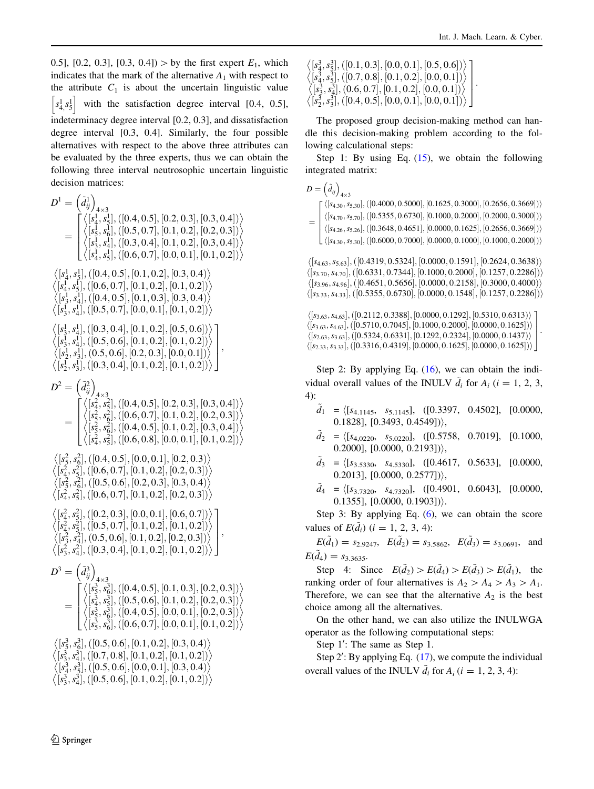0.5], [0.2, 0.3], [0.3, 0.4])  $>$  by the first expert  $E_1$ , which indicates that the mark of the alternative  $A_1$  with respect to the attribute  $C_1$  is about the uncertain linguistic value  $\begin{bmatrix} s_4^1, s_5^1 \end{bmatrix}$  with the satisfaction degree interval [0.4, 0.5], indeterminacy degree interval [0.2, 0.3], and dissatisfaction degree interval [0.3, 0.4]. Similarly, the four possible alternatives with respect to the above three attributes can be evaluated by the three experts, thus we can obtain the following three interval neutrosophic uncertain linguistic decision matrices:

 $D^1 = \left(\tilde{d}^1_{ij}\right)$  $4\times3$  $=$  $\left\langle \left[s_4^1,s_5^1\right],\left([0.4,0.5],[0.2,0.3],[0.3,0.4]\right)\right\rangle$  $\langle [s_5^1, s_6^1], ([0.5, 0.7], [0.1, 0.2], [0.2, 0.3]) \rangle$  $\langle [s_3^1, s_4^1], ([0.3, 0.4], [0.1, 0.2], [0.3, 0.4]) \rangle$  $\langle [s_4^1, s_5^1], ([0.6, 0.7], [0.0, 0.1], [0.1, 0.2]) \rangle$  $\rightarrow$  $\left| \right|$  $\langle [s_4^1, s_5^1], ([0.4, 0.5], [0.1, 0.2], [0.3, 0.4) \rangle$  $\langle [s_4^1, s_5^1], ([0.4, 0.5], [0.1, 0.2], [0.5, 0.4] \rangle$  $\langle [s_4^1, s_5^1], ([0.6, 0.7], [0.1, 0.2], [0.1, 0.2]) \rangle$ <br> $\langle [s_3^1, s_4^1], ([0.4, 0.5], [0.1, 0.3], [0.3, 0.4]) \rangle$  $\langle [s_3^1, s_4^1], ([0.5, 0.7], [0.0, 0.1], [0.1, 0.2]) \rangle$  $\langle [s_3^1, s_4^1], ([0.3, 0.4], [0.1, 0.2], [0.5, 0.6]) \rangle \rangle$  $\langle [s_3^1, s_4^1], ([0.5, 0.6], [0.1, 0.2], [0.1, 0.2]) \rangle$  $\langle [s_2^1,s_3^1], (0.5,0.6], [0.2,0.3], [0.0,0.1]) \rangle$  $\langle [s_2^1, s_3^1], (0.3, 0.4], [0.1, 0.2], [0.1, 0.2]) \rangle$  $\overline{1}$  $\overline{1}$  $\vert$ ,  $D^2 = \left(\tilde{d}_{ij}^2\right)_{4\times 3}$  $=$  $\left\langle \left[s_4^2,s_5^2\right],\left([0.4,0.5],[0.2,0.3],[0.3,0.4]\right)\right\rangle$  $\langle [s_2^2, s_6^2], ([0.6, 0.7], [0.1, 0.2], [0.2, 0.3]) \rangle$  $\langle [s_5^2, s_6^2], ([0.3, 0.7], [0.1, 0.2], [0.2, 0.9]) \rangle$  $\langle [s_4^2, s_5^2], ([0.6, 0.8], [0.0, 0.1], [0.1, 0.2]) \rangle$  $\rightarrow$  $\left| \right|$  $\langle [s^2_5, s^2_6], ([0.4, 0.5], [0.0, 0.1], [0.2, 0.3] \rangle$  $\langle [s_4^2, s_5^2], ([0.6, 0.7], [0.1, 0.2], [0.2, 0.3]) \rangle$  $\langle [s_4^2, s_5^2], ([0.6, 0.7], [0.1, 0.2], [0.2, 0.5]) \rangle$ <br> $\langle [s_5^2, s_6^2], ([0.5, 0.6], [0.2, 0.3], [0.3, 0.4] \rangle$  $\langle [s_4^2, s_5^2], ([0.6, 0.7], [0.1, 0.2], [0.2, 0.3]) \rangle$  $\left\langle [s_4^2, s_5^2],\left([0.2, 0.3], [0.0, 0.1], [0.6, 0.7]\right)\right\rangle$  $\langle [s_4^2, s_5^2], ([0.5, 0.7], [0.0, 0.1], [0.0, 0.7]] \rangle$  $\langle [s_3^2, s_4^2], (0.5, 0.6], [0.1, 0.2], [0.2, 0.3] \rangle$  $\langle [s_3^2, s_4^2], (0.5, 0.9], [0.1, 0.2], [0.2, 0.9]) \rangle$  $\overline{1}$  $\overline{1}$  $\overline{1}$  $\vert$ ,  $D^3 = \left(\tilde{d}_{ij}^3\right)_{4\times 3}$  $=$  $\left\langle [s_\mathsf{5}^3,s_\mathsf{6}^3],\left([0.4,0.5],[0.1,0.3],[0.2,0.3]\right)\right\rangle$  $\langle [s_4^3, s_5^3], ([0.5, 0.6], [0.1, 0.2], [0.2, 0.3]) \rangle$  $\langle [s_3^3, s_6^3], ([0.4, 0.5], [0.0, 0.1], [0.2, 0.3]) \rangle$  $\langle [s_5^3, s_6^3], ([0.4, 0.5], [0.0, 0.1], [0.2, 0.9]) \rangle$  $\overline{r}$  $\left| \right|$  $\langle [s_5^3, s_6^3], ([0.5, 0.6], [0.1, 0.2], [0.3, 0.4) \rangle$  $\langle [s_3^3, s_4^3], ([0.7, 0.8], [0.1, 0.2], [0.1, 0.2]) \rangle$  $\langle [s_4^3, s_5^3], ([0.5, 0.6], [0.0, 0.1], [0.3, 0.4] \rangle$  $\langle [s_4^3, s_5^3], ([0.5, 0.6], [0.0, 0.1], [0.5, 0.1] \rangle$ 

 $\langle [s_4^3, s_5^3], ([0.1, 0.3], [0.0, 0.1], [0.5, 0.6]) \rangle \rangle$  $\langle [s_4^2, s_5^2], ([0.7, 0.8], [0.0, 0.1], [0.9, 0.0], [\times_4^2, s_5^2], ([0.7, 0.8], [0.1, 0.2], [0.0, 0.1]) \rangle$  $\langle [s_3^3, s_4^3], (0.6, 0.7], [0.1, 0.2], [0.0, 0.1] \rangle \rangle$  $\langle [s_3^3, s_4^4], (0.6, 0.7], [0.1, 0.2], [0.6, 0.1]) \rangle$ 

The proposed group decision-making method can handle this decision-making problem according to the following calculational steps:

Step 1: By using Eq.  $(15)$  $(15)$ , we obtain the following integrated matrix:

 $D = \left(\tilde{d}_{ij}\right)_{4\times 3}$  $\equiv$  $\lceil \langle [s_{4.30}, s_{5.30}], ([0.4000, 0.5000], [0.1625, 0.3000], [0.2656, 0.3669]) \rangle$  $\langle [s_{4.70},s_{5.70}], ([0.5355, 0.6730], [0.1000, 0.2000], [0.2000, 0.3000]) \rangle$  $\langle [s_{4.26},s_{5.26}], ([0.3648, 0.4651], [0.0000, 0.1625], [0.2656, 0.3669]) \rangle$  $\langle [s_{4.30},s_{5.30}], ([0.6000, 0.7000], [0.0000, 0.1000], [0.1000, 0.2000]) \rangle$  $\overline{\phantom{a}}$ 

 $\langle [s_{4.63}, s_{5.63}], ([0.4319, 0.5324], [0.0000, 0.1591], [0.2624, 0.3638] \rangle$  $\langle [s_{3.70}, s_{4.70}], ([0.6331, 0.7344], [0.1000, 0.2000], [0.1257, 0.2286]) \rangle$  $\langle [s_{3.96}, s_{4.96}], ([0.4651, 0.5656], [0.0000, 0.2158], [0.3000, 0.4000] \rangle$  $\langle [s_{3.33}, s_{4.33}], ([0.5355, 0.6730], [0.0000, 0.1548], [0.1257, 0.2286]) \rangle$ 

 $\langle [s_{3.63}, s_{4.63}], ([0.2112, 0.3388], [0.0000, 0.1292], [0.5310, 0.6313] \rangle$  $\langle [s_{3.63}, s_{4.63}], ([0.5710, 0.7045], [0.1000, 0.2000], [0.0000, 0.1625]) \rangle$  $\langle [s_{2.63}, s_{3.63}], ([0.5324, 0.6331], [0.1292, 0.2324], [0.0000, 0.1437] \rangle$  $\langle [s_{2.33}, s_{3.33}], ([0.3316, 0.4319], [0.0000, 0.1625], [0.0000, 0.1625]) \rangle$  $\overline{1}$  $\overline{1}$  $\overline{1}$  $\vert \cdot$ 

Step 2: By applying Eq. [\(16](#page-8-0)), we can obtain the individual overall values of the INULV  $\tilde{d}_i$  for  $A_i$  (i = 1, 2, 3, 4):

- $d_1 = \langle [s_{4.1145}, s_{5.1145}], ([0.3397, 0.4502], [0.0000,$ 0.1828],  $[0.3493, 0.4549]$ ,
- $d_2 = \langle [s_{4,0220}, s_{5.0220}], ([0.5758, 0.7019], [0.1000,$  $(0.2000]$ ,  $[0.0000, 0.2193])$ ,
- $d_3 = \langle [s_{3.5330}, s_{4.5330}], ([0.4617, 0.5633], [0.0000,$  $(0.2013]$ ,  $[0.0000, 0.2577]$ ),
- $d_4 = \langle [s_{3.7320}, s_{4.7320}], ([0.4901, 0.6043], [0.0000,$  $(0.1355]$ ,  $[0.0000, 0.1903]$ .

Step 3: By applying Eq.  $(6)$  $(6)$ , we can obtain the score values of  $E(\tilde{d}_i)$  (*i* = 1, 2, 3, 4):

 $E(\tilde{d}_1) = s_{2.9247}, E(\tilde{d}_2) = s_{3.5862}, E(\tilde{d}_3) = s_{3.0691}$ , and  $E(\tilde{d}_4) = s_3 s_6 s_5.$ 

Step 4: Since  $E(\tilde{d}_2) > E(\tilde{d}_4) > E(\tilde{d}_3) > E(\tilde{d}_1)$ , the ranking order of four alternatives is  $A_2 > A_4 > A_3 > A_1$ . Therefore, we can see that the alternative  $A_2$  is the best choice among all the alternatives.

On the other hand, we can also utilize the INULWGA operator as the following computational steps:

Step 1': The same as Step 1.

Step  $2'$ : By applying Eq.  $(17)$  $(17)$ , we compute the individual overall values of the INULV  $\tilde{d}_i$  for  $A_i$  (i = 1, 2, 3, 4):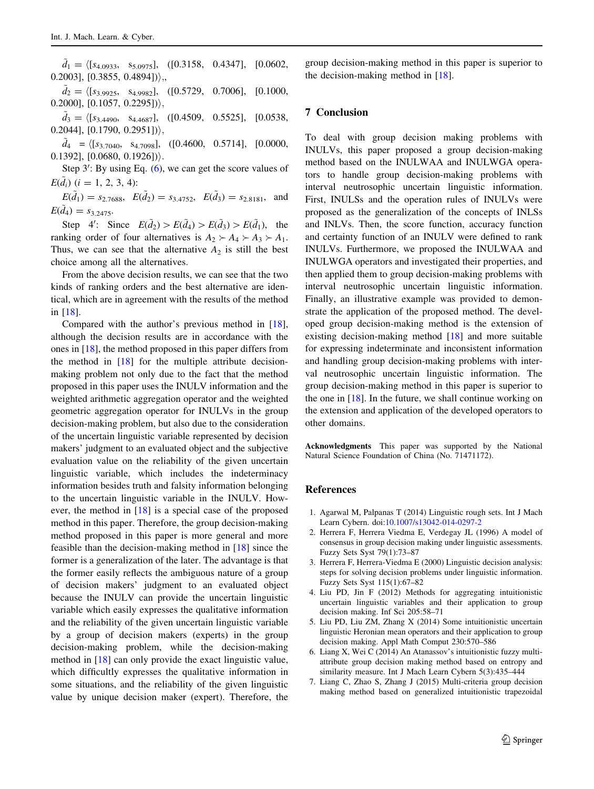<span id="page-10-0"></span> $d_1 = \langle [s_{4.0933}, s_{5.0975}], ([0.3158, 0.4347], [0.0602,$  $0.2003$ ], [0.3855, 0.4894]) $\rangle$ ,

 $d_2 = \langle [s_{3.9925}, s_{4.9982}], ([0.5729, 0.7006], [0.1000,$  $(0.2000]$ ,  $[0.1057, 0.2295])$ ,

 $d_3 = \langle [s_{3.4490}, s_{4.4687}], ([0.4509, 0.5525], [0.0538,$  $0.2044$ ], [0.1790, 0.2951]) $\rangle$ ,

 $d_4 = \langle [s_{3.7040}, s_{4.7098}], ([0.4600, 0.5714], [0.0000,$  $(0.1392]$ ,  $[0.0680, 0.1926])$ .

Step  $3'$ : By using Eq. ([6\)](#page-5-0), we can get the score values of  $E(\ddot{d}_i)$  (i = 1, 2, 3, 4):

 $E(\tilde{d}_1) = s_2$  7688,  $E(\tilde{d}_2) = s_3$  4752,  $E(\tilde{d}_3) = s_2$  8181, and  $E(\tilde{d}_4) = s_{3.2475}$ .

Step 4': Since  $E(\tilde{d}_2) > E(\tilde{d}_4) > E(\tilde{d}_3) > E(\tilde{d}_1)$ , the ranking order of four alternatives is  $A_2 \succ A_4 \succ A_3 \succ A_1$ . Thus, we can see that the alternative  $A_2$  is still the best choice among all the alternatives.

From the above decision results, we can see that the two kinds of ranking orders and the best alternative are identical, which are in agreement with the results of the method in [\[18](#page-11-0)].

Compared with the author's previous method in [\[18](#page-11-0)], although the decision results are in accordance with the ones in [\[18](#page-11-0)], the method proposed in this paper differs from the method in [[18\]](#page-11-0) for the multiple attribute decisionmaking problem not only due to the fact that the method proposed in this paper uses the INULV information and the weighted arithmetic aggregation operator and the weighted geometric aggregation operator for INULVs in the group decision-making problem, but also due to the consideration of the uncertain linguistic variable represented by decision makers' judgment to an evaluated object and the subjective evaluation value on the reliability of the given uncertain linguistic variable, which includes the indeterminacy information besides truth and falsity information belonging to the uncertain linguistic variable in the INULV. However, the method in [\[18](#page-11-0)] is a special case of the proposed method in this paper. Therefore, the group decision-making method proposed in this paper is more general and more feasible than the decision-making method in [\[18](#page-11-0)] since the former is a generalization of the later. The advantage is that the former easily reflects the ambiguous nature of a group of decision makers' judgment to an evaluated object because the INULV can provide the uncertain linguistic variable which easily expresses the qualitative information and the reliability of the given uncertain linguistic variable by a group of decision makers (experts) in the group decision-making problem, while the decision-making method in [\[18\]](#page-11-0) can only provide the exact linguistic value, which difficultly expresses the qualitative information in some situations, and the reliability of the given linguistic value by unique decision maker (expert). Therefore, the group decision-making method in this paper is superior to the decision-making method in [[18\]](#page-11-0).

#### 7 Conclusion

To deal with group decision making problems with INULVs, this paper proposed a group decision-making method based on the INULWAA and INULWGA operators to handle group decision-making problems with interval neutrosophic uncertain linguistic information. First, INULSs and the operation rules of INULVs were proposed as the generalization of the concepts of INLSs and INLVs. Then, the score function, accuracy function and certainty function of an INULV were defined to rank INULVs. Furthermore, we proposed the INULWAA and INULWGA operators and investigated their properties, and then applied them to group decision-making problems with interval neutrosophic uncertain linguistic information. Finally, an illustrative example was provided to demonstrate the application of the proposed method. The developed group decision-making method is the extension of existing decision-making method [\[18](#page-11-0)] and more suitable for expressing indeterminate and inconsistent information and handling group decision-making problems with interval neutrosophic uncertain linguistic information. The group decision-making method in this paper is superior to the one in [[18\]](#page-11-0). In the future, we shall continue working on the extension and application of the developed operators to other domains.

Acknowledgments This paper was supported by the National Natural Science Foundation of China (No. 71471172).

### References

- 1. Agarwal M, Palpanas T (2014) Linguistic rough sets. Int J Mach Learn Cybern. doi:[10.1007/s13042-014-0297-2](http://dx.doi.org/10.1007/s13042-014-0297-2)
- 2. Herrera F, Herrera Viedma E, Verdegay JL (1996) A model of consensus in group decision making under linguistic assessments. Fuzzy Sets Syst 79(1):73–87
- 3. Herrera F, Herrera-Viedma E (2000) Linguistic decision analysis: steps for solving decision problems under linguistic information. Fuzzy Sets Syst 115(1):67–82
- 4. Liu PD, Jin F (2012) Methods for aggregating intuitionistic uncertain linguistic variables and their application to group decision making. Inf Sci 205:58–71
- 5. Liu PD, Liu ZM, Zhang X (2014) Some intuitionistic uncertain linguistic Heronian mean operators and their application to group decision making. Appl Math Comput 230:570–586
- 6. Liang X, Wei C (2014) An Atanassov's intuitionistic fuzzy multiattribute group decision making method based on entropy and similarity measure. Int J Mach Learn Cybern 5(3):435–444
- 7. Liang C, Zhao S, Zhang J (2015) Multi-criteria group decision making method based on generalized intuitionistic trapezoidal